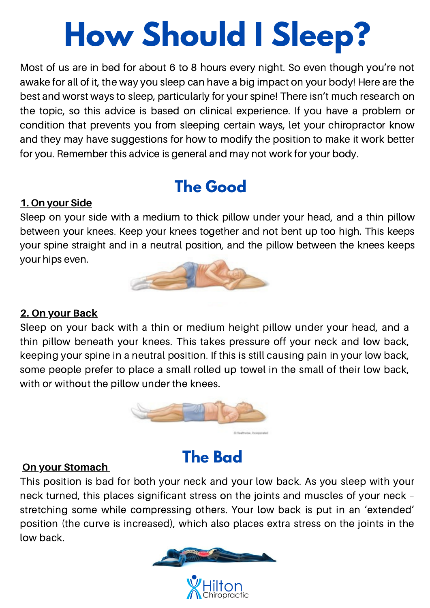# **How Should I Sleep?**

Most of us are in bed for about 6 to 8 hours every night. So even though you're not awake for all of it, the way you sleep can have a big impact on your body! Here are the best and worst ways to sleep, particularly for your spine! There isn't much research on the topic, so this advice is based on clinical experience. If you have a problem or condition that prevents you from sleeping certain ways, let your chiropractor know and they may have suggestions for how to modify the position to make it work better for you. Remember this advice is general and may not work for your body.

# **The Good**

## **1. On your Side**

Sleep on your side with a medium to thick pillow under your head, and a thin pillow between your knees. Keep your knees together and not bent up too high. This keeps your spine straight and in a neutral position, and the pillow between the knees keeps your hips even.



## **2. On your Back**

Sleep on your back with a thin or medium height pillow under your head, and a thin pillow beneath your knees. This takes pressure off your neck and low back, keeping your spine in a neutral position. If this is still causing pain in your low back, some people prefer to place a small rolled up towel in the small of their low back, with or without the pillow under the knees.



## **The Bad**

## **On your Stomach**

This position is bad for both your neck and your low back. As you sleep with your neck turned, this places significant stress on the joints and muscles of your neck – stretching some while compressing others. Your low back is put in an 'extended' position (the curve is increased), which also places extra stress on the joints in the low back.